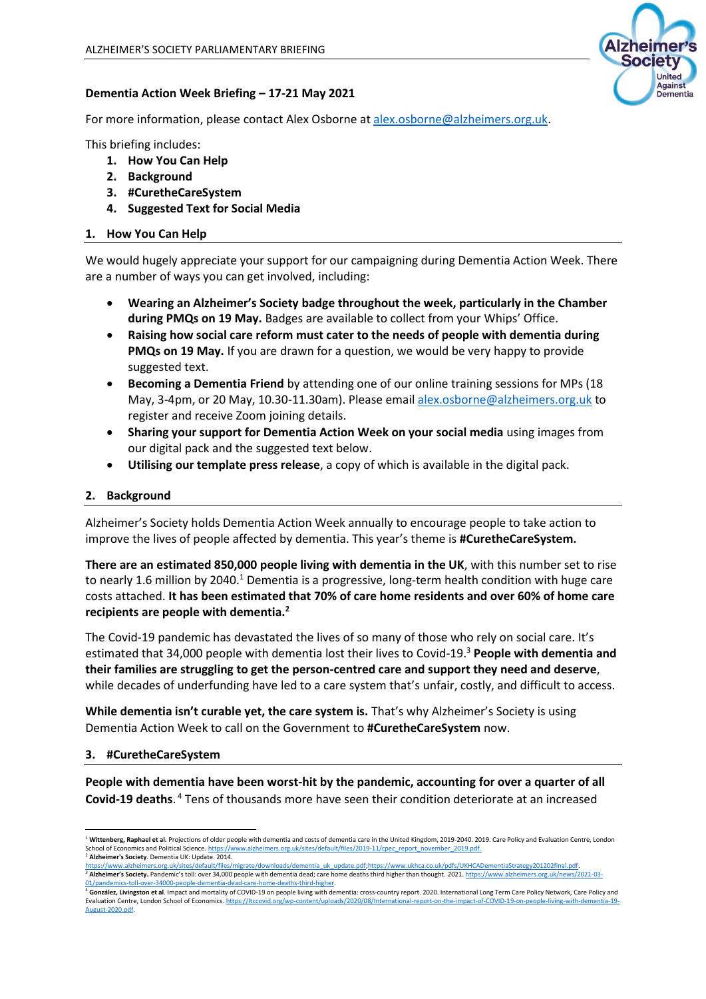

### **Dementia Action Week Briefing – 17-21 May 2021**

For more information, please contact Alex Osborne at [alex.osborne@alzheimers.org.uk.](mailto:alex.osborne@alzheimers.org.uk)

This briefing includes:

- **1. How You Can Help**
- **2. Background**
- **3. #CuretheCareSystem**
- **4. Suggested Text for Social Media**

# **1. How You Can Help**

We would hugely appreciate your support for our campaigning during Dementia Action Week. There are a number of ways you can get involved, including:

- **Wearing an Alzheimer's Society badge throughout the week, particularly in the Chamber during PMQs on 19 May.** Badges are available to collect from your Whips' Office.
- **Raising how social care reform must cater to the needs of people with dementia during PMQs on 19 May.** If you are drawn for a question, we would be very happy to provide suggested text.
- **Becoming a Dementia Friend** by attending one of our online training sessions for MPs (18 May, 3-4pm, or 20 May, 10.30-11.30am). Please email [alex.osborne@alzheimers.org.uk](mailto:alex.osborne@alzheimers.org.uk) to register and receive Zoom joining details.
- **Sharing your support for Dementia Action Week on your social media** using images from our digital pack and the suggested text below.
- **Utilising our template press release**, a copy of which is available in the digital pack.

# **2. Background**

Alzheimer's Society holds Dementia Action Week annually to encourage people to take action to improve the lives of people affected by dementia. This year's theme is **#CuretheCareSystem.**

**There are an estimated 850,000 people living with dementia in the UK**, with this number set to rise to nearly 1.6 million by 2040.<sup>1</sup> Dementia is a progressive, long-term health condition with huge care costs attached. **It has been estimated that 70% of care home residents and over 60% of home care recipients are people with dementia.<sup>2</sup>**

The Covid-19 pandemic has devastated the lives of so many of those who rely on social care. It's estimated that 34,000 people with dementia lost their lives to Covid-19.<sup>3</sup> **People with dementia and their families are struggling to get the person-centred care and support they need and deserve**, while decades of underfunding have led to a care system that's unfair, costly, and difficult to access.

While dementia isn't curable yet, the care system is. That's why Alzheimer's Society is using Dementia Action Week to call on the Government to **#CuretheCareSystem** now.

### **3. #CuretheCareSystem**

**People with dementia have been worst-hit by the pandemic, accounting for over a quarter of all Covid-19 deaths**. <sup>4</sup> Tens of thousands more have seen their condition deteriorate at an increased

<sup>&</sup>lt;sup>1</sup> Wittenberg, Raphael et al. Projections of older people with dementia and costs of dementia care in the United Kingdom, 2019-2040, 2019, Care Policy and Evaluation Centre, London ://www.alzheimers.org.uk/sites/default/files/2019-11/cpec\_report\_november\_2019.pdf. School of Economics and Political Science. https://www.alzhe<sup>2</sup><br>
<sup>2</sup> **Alzheimer's Society**. Dementia UK: Update. 2014.<br>
https://www.alzheimers.org.uk/sites/default/files/migrate/d

loads/dementia uk update.pdf;https://www.ukhca.co.uk/pdfs/UKHCADementiaStrategy201202final.pdf <sup>3</sup> Alzheimer's Society. Pandemic's toll: over 34,000 people with dementia dead; care home deaths third higher than thought. 2021[. https://www.alzheimers.org.uk/news/2021-03-](https://www.alzheimers.org.uk/news/2021-03-01/pandemics-toll-over-34000-people-dementia-dead-care-home-deaths-third-higher)

<sup>&</sup>lt;u>01/pandemics-toll-over-34000-people-dementia-dead-care-home-deaths-third-higher.</u><br><sup>4</sup> González, Livingston et al. Impact and mortality of COVID-19 on people living with dementia: cross-country report. 2020. International Evaluation Centre, London School of Economics[. https://ltccovid.org/wp-content/uploads/2020/08/International-report-on-the-impact-of-COVID-19-on-people-living-with-dementia-19-](https://ltccovid.org/wp-content/uploads/2020/08/International-report-on-the-impact-of-COVID-19-on-people-living-with-dementia-19-August-2020.pdf) [August-2020.pdf.](https://ltccovid.org/wp-content/uploads/2020/08/International-report-on-the-impact-of-COVID-19-on-people-living-with-dementia-19-August-2020.pdf)